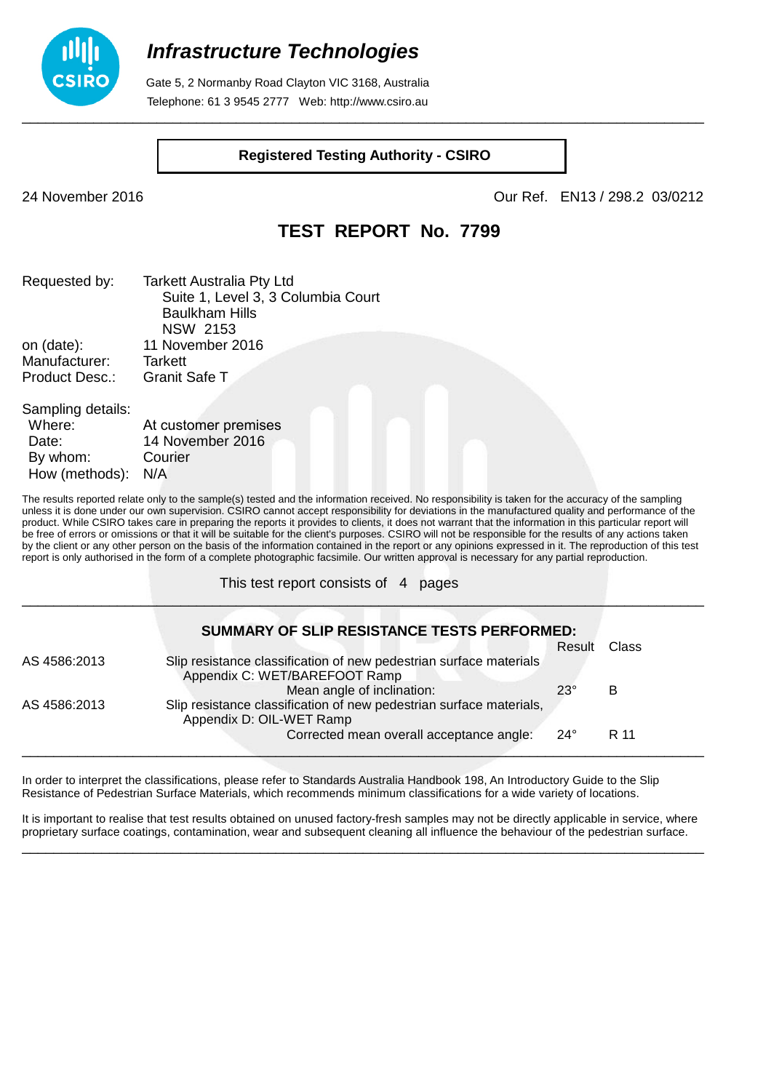

 Gate 5, 2 Normanby Road Clayton VIC 3168, Australia Telephone: 61 3 9545 2777 Web: http://www.csiro.au

#### **Registered Testing Authority - CSIRO**

\_\_\_\_\_\_\_\_\_\_\_\_\_\_\_\_\_\_\_\_\_\_\_\_\_\_\_\_\_\_\_\_\_\_\_\_\_\_\_\_\_\_\_\_\_\_\_\_\_\_\_\_\_\_\_\_\_\_\_\_\_\_\_\_\_\_\_\_\_\_\_\_\_\_\_\_\_\_\_\_\_\_\_\_\_\_

24 November 2016 Our Ref. EN13 / 298.2 03/0212

## **TEST REPORT No. 7799**

| Requested by:           | <b>Tarkett Australia Pty Ltd</b>   |
|-------------------------|------------------------------------|
|                         | Suite 1, Level 3, 3 Columbia Court |
|                         | <b>Baulkham Hills</b>              |
|                         | <b>NSW 2153</b>                    |
| on (date):              | 11 November 2016                   |
| Manufacturer:           | <b>Tarkett</b>                     |
| <b>Product Desc.:</b>   | <b>Granit Safe T</b>               |
| Sampling details:<br>Mh | $At$ quotamar pramigae             |

| Where:         | At customer premises |  |
|----------------|----------------------|--|
| Date:          | 14 November 2016     |  |
| By whom:       | Courier              |  |
| How (methods): | N/A                  |  |

The results reported relate only to the sample(s) tested and the information received. No responsibility is taken for the accuracy of the sampling unless it is done under our own supervision. CSIRO cannot accept responsibility for deviations in the manufactured quality and performance of the product. While CSIRO takes care in preparing the reports it provides to clients, it does not warrant that the information in this particular report will be free of errors or omissions or that it will be suitable for the client's purposes. CSIRO will not be responsible for the results of any actions taken by the client or any other person on the basis of the information contained in the report or any opinions expressed in it. The reproduction of this test report is only authorised in the form of a complete photographic facsimile. Our written approval is necessary for any partial reproduction.

\_\_\_\_\_\_\_\_\_\_\_\_\_\_\_\_\_\_\_\_\_\_\_\_\_\_\_\_\_\_\_\_\_\_\_\_\_\_\_\_\_\_\_\_\_\_\_\_\_\_\_\_\_\_\_\_\_\_\_\_\_\_\_\_\_\_\_\_\_\_\_\_\_\_\_\_\_\_\_\_\_\_\_\_\_\_

This test report consists of 4 pages

|              | SUMMARY OF SLIP RESISTANCE TESTS PERFORMED:                                                         |              |       |
|--------------|-----------------------------------------------------------------------------------------------------|--------------|-------|
|              |                                                                                                     | Result       | Class |
| AS 4586:2013 | Slip resistance classification of new pedestrian surface materials<br>Appendix C: WET/BAREFOOT Ramp |              |       |
|              | Mean angle of inclination:                                                                          | $23^\circ$   | в     |
| AS 4586:2013 | Slip resistance classification of new pedestrian surface materials,<br>Appendix D: OIL-WET Ramp     |              |       |
|              | Corrected mean overall acceptance angle:                                                            | $24^{\circ}$ | R 11  |

In order to interpret the classifications, please refer to Standards Australia Handbook 198, An Introductory Guide to the Slip Resistance of Pedestrian Surface Materials, which recommends minimum classifications for a wide variety of locations.

It is important to realise that test results obtained on unused factory-fresh samples may not be directly applicable in service, where proprietary surface coatings, contamination, wear and subsequent cleaning all influence the behaviour of the pedestrian surface. \_\_\_\_\_\_\_\_\_\_\_\_\_\_\_\_\_\_\_\_\_\_\_\_\_\_\_\_\_\_\_\_\_\_\_\_\_\_\_\_\_\_\_\_\_\_\_\_\_\_\_\_\_\_\_\_\_\_\_\_\_\_\_\_\_\_\_\_\_\_\_\_\_\_\_\_\_\_\_\_\_\_\_\_\_\_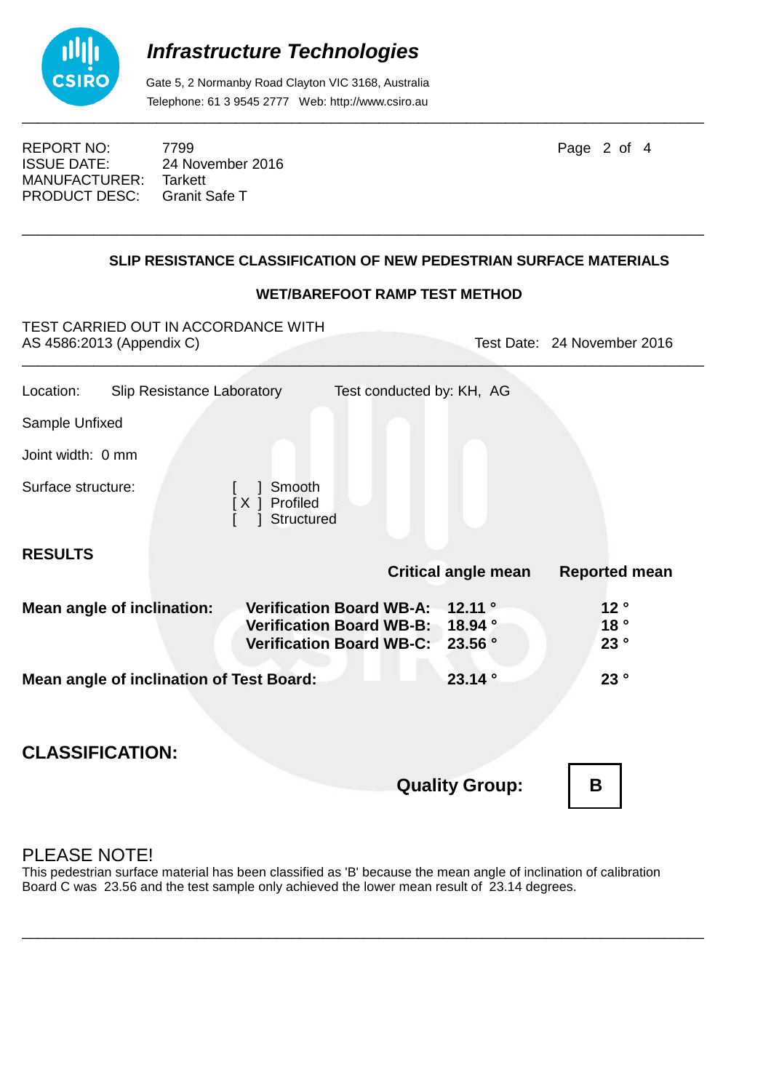

 Gate 5, 2 Normanby Road Clayton VIC 3168, Australia Telephone: 61 3 9545 2777 Web: http://www.csiro.au

REPORT NO: 7799 **Page 2 of 4** ISSUE DATE: 24 November 2016<br>MANUFACTURER: Tarkett MANUFACTURER: PRODUCT DESC: Granit Safe T

## **SLIP RESISTANCE CLASSIFICATION OF NEW PEDESTRIAN SURFACE MATERIALS**

\_\_\_\_\_\_\_\_\_\_\_\_\_\_\_\_\_\_\_\_\_\_\_\_\_\_\_\_\_\_\_\_\_\_\_\_\_\_\_\_\_\_\_\_\_\_\_\_\_\_\_\_\_\_\_\_\_\_\_\_\_\_\_\_\_\_\_\_\_\_\_\_\_\_\_\_\_\_\_\_\_\_\_\_\_\_

#### **WET/BAREFOOT RAMP TEST METHOD**

TEST CARRIED OUT IN ACCORDANCE WITH AS 4586:2013 (Appendix C) Test Date: 24 November 2016  $\mathcal{L}_\mathcal{L}$  , and the contribution of the contribution of the contribution of the contribution of the contribution of the contribution of the contribution of the contribution of the contribution of the contribution of

| Location:                                                        | Slip Resistance Laboratory        | Test conducted by: KH, AG                                                                              |                            |                               |  |
|------------------------------------------------------------------|-----------------------------------|--------------------------------------------------------------------------------------------------------|----------------------------|-------------------------------|--|
| Sample Unfixed                                                   |                                   |                                                                                                        |                            |                               |  |
| Joint width: 0 mm                                                |                                   |                                                                                                        |                            |                               |  |
| Surface structure:                                               |                                   | Smooth<br>Profiled<br>[X]<br>Structured                                                                |                            |                               |  |
| <b>RESULTS</b>                                                   |                                   |                                                                                                        | <b>Critical angle mean</b> | <b>Reported mean</b>          |  |
|                                                                  | <b>Mean angle of inclination:</b> | <b>Verification Board WB-A:</b><br>Verification Board WB-B: 18.94 °<br><b>Verification Board WB-C:</b> | 12.11 $^{\circ}$<br>23.56° | 12 <sup>°</sup><br>18°<br>23° |  |
| 23.14°<br>23°<br><b>Mean angle of inclination of Test Board:</b> |                                   |                                                                                                        |                            |                               |  |
| <b>CLASSIFICATION:</b>                                           |                                   |                                                                                                        | <b>Quality Group:</b>      | B                             |  |

## PLEASE NOTE!

This pedestrian surface material has been classified as 'B' because the mean angle of inclination of calibration Board C was 23.56 and the test sample only achieved the lower mean result of 23.14 degrees.

\_\_\_\_\_\_\_\_\_\_\_\_\_\_\_\_\_\_\_\_\_\_\_\_\_\_\_\_\_\_\_\_\_\_\_\_\_\_\_\_\_\_\_\_\_\_\_\_\_\_\_\_\_\_\_\_\_\_\_\_\_\_\_\_\_\_\_\_\_\_\_\_\_\_\_\_\_\_\_\_\_\_\_\_\_\_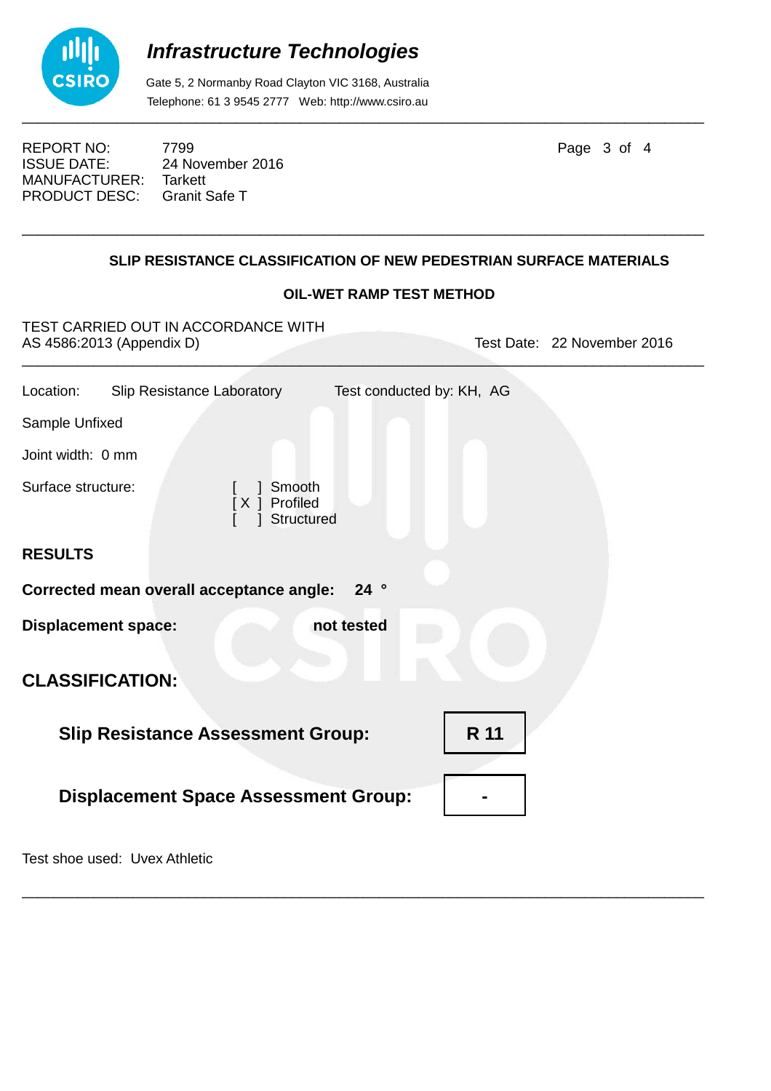

 Gate 5, 2 Normanby Road Clayton VIC 3168, Australia Telephone: 61 3 9545 2777 Web: http://www.csiro.au

REPORT NO: 7799 **Page 3 of 4** ISSUE DATE: 24 November 2016<br>MANUFACTURER: Tarkett MANUFACTURER: PRODUCT DESC: Granit Safe T

## **SLIP RESISTANCE CLASSIFICATION OF NEW PEDESTRIAN SURFACE MATERIALS**

\_\_\_\_\_\_\_\_\_\_\_\_\_\_\_\_\_\_\_\_\_\_\_\_\_\_\_\_\_\_\_\_\_\_\_\_\_\_\_\_\_\_\_\_\_\_\_\_\_\_\_\_\_\_\_\_\_\_\_\_\_\_\_\_\_\_\_\_\_\_\_\_\_\_\_\_\_\_\_\_\_\_\_\_\_\_

## **OIL-WET RAMP TEST METHOD**

| TEST CARRIED OUT IN ACCORDANCE WITH<br>AS 4586:2013 (Appendix D) | Test Date: 22 November 2016 |  |  |  |  |
|------------------------------------------------------------------|-----------------------------|--|--|--|--|
| Slip Resistance Laboratory<br>Location:                          | Test conducted by: KH, AG   |  |  |  |  |
| Sample Unfixed                                                   |                             |  |  |  |  |
| Joint width: 0 mm                                                |                             |  |  |  |  |
| Surface structure:<br>Smooth<br>[X ] Profiled<br>Structured      |                             |  |  |  |  |
| <b>RESULTS</b>                                                   |                             |  |  |  |  |
| Corrected mean overall acceptance angle:<br>24°                  |                             |  |  |  |  |
| <b>Displacement space:</b><br>not tested                         |                             |  |  |  |  |
| <b>CLASSIFICATION:</b>                                           |                             |  |  |  |  |
| R 11<br><b>Slip Resistance Assessment Group:</b>                 |                             |  |  |  |  |
| <b>Displacement Space Assessment Group:</b>                      |                             |  |  |  |  |
|                                                                  |                             |  |  |  |  |

\_\_\_\_\_\_\_\_\_\_\_\_\_\_\_\_\_\_\_\_\_\_\_\_\_\_\_\_\_\_\_\_\_\_\_\_\_\_\_\_\_\_\_\_\_\_\_\_\_\_\_\_\_\_\_\_\_\_\_\_\_\_\_\_\_\_\_\_\_\_\_\_\_\_\_\_\_\_\_\_\_\_\_\_\_\_

Test shoe used: Uvex Athletic